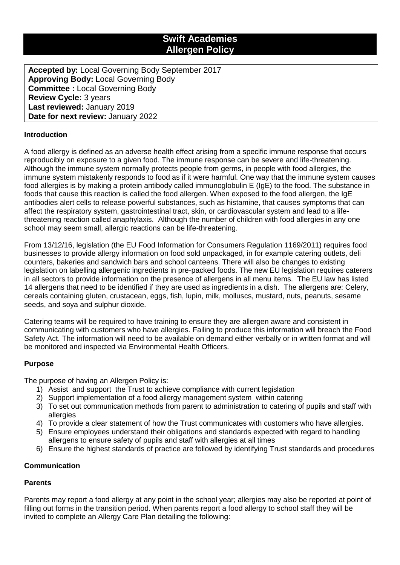# **Swift Academies Allergen Policy**

**Accepted by:** Local Governing Body September 2017 **Approving Body:** Local Governing Body **Committee :** Local Governing Body **Review Cycle:** 3 years **Last reviewed:** January 2019 **Date for next review:** January 2022

# **Introduction**

A food allergy is defined as an adverse health effect arising from a specific immune response that occurs reproducibly on exposure to a given food. The immune response can be severe and life-threatening. Although the immune system normally protects people from germs, in people with food allergies, the immune system mistakenly responds to food as if it were harmful. One way that the immune system causes food allergies is by making a protein antibody called immunoglobulin E (IgE) to the food. The substance in foods that cause this reaction is called the food allergen. When exposed to the food allergen, the IgE antibodies alert cells to release powerful substances, such as histamine, that causes symptoms that can affect the respiratory system, gastrointestinal tract, skin, or cardiovascular system and lead to a lifethreatening reaction called anaphylaxis. Although the number of children with food allergies in any one school may seem small, allergic reactions can be life-threatening.

From 13/12/16, legislation (the EU Food Information for Consumers Regulation 1169/2011) requires food businesses to provide allergy information on food sold unpackaged, in for example catering outlets, deli counters, bakeries and sandwich bars and school canteens. There will also be changes to existing legislation on labelling allergenic ingredients in pre-packed foods. The new EU legislation requires caterers in all sectors to provide information on the presence of allergens in all menu items. The EU law has listed 14 allergens that need to be identified if they are used as ingredients in a dish. The allergens are: Celery, cereals containing gluten, crustacean, eggs, fish, lupin, milk, molluscs, mustard, nuts, peanuts, sesame seeds, and soya and sulphur dioxide.

Catering teams will be required to have training to ensure they are allergen aware and consistent in communicating with customers who have allergies. Failing to produce this information will breach the Food Safety Act. The information will need to be available on demand either verbally or in written format and will be monitored and inspected via Environmental Health Officers.

## **Purpose**

The purpose of having an Allergen Policy is:

- 1) Assist and support the Trust to achieve compliance with current legislation
- 2) Support implementation of a food allergy management system within catering
- 3) To set out communication methods from parent to administration to catering of pupils and staff with allergies
- 4) To provide a clear statement of how the Trust communicates with customers who have allergies.
- 5) Ensure employees understand their obligations and standards expected with regard to handling allergens to ensure safety of pupils and staff with allergies at all times
- 6) Ensure the highest standards of practice are followed by identifying Trust standards and procedures

## **Communication**

#### **Parents**

Parents may report a food allergy at any point in the school year; allergies may also be reported at point of filling out forms in the transition period. When parents report a food allergy to school staff they will be invited to complete an Allergy Care Plan detailing the following: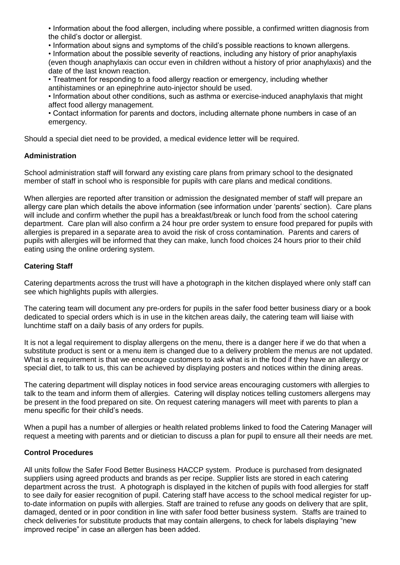• Information about the food allergen, including where possible, a confirmed written diagnosis from the child's doctor or allergist.

• Information about signs and symptoms of the child's possible reactions to known allergens.

• Information about the possible severity of reactions, including any history of prior anaphylaxis (even though anaphylaxis can occur even in children without a history of prior anaphylaxis) and the date of the last known reaction.

• Treatment for responding to a food allergy reaction or emergency, including whether antihistamines or an epinephrine auto-injector should be used.

• Information about other conditions, such as asthma or exercise-induced anaphylaxis that might affect food allergy management.

• Contact information for parents and doctors, including alternate phone numbers in case of an emergency.

Should a special diet need to be provided, a medical evidence letter will be required.

## **Administration**

School administration staff will forward any existing care plans from primary school to the designated member of staff in school who is responsible for pupils with care plans and medical conditions.

When allergies are reported after transition or admission the designated member of staff will prepare an allergy care plan which details the above information (see information under 'parents' section). Care plans will include and confirm whether the pupil has a breakfast/break or lunch food from the school catering department. Care plan will also confirm a 24 hour pre order system to ensure food prepared for pupils with allergies is prepared in a separate area to avoid the risk of cross contamination. Parents and carers of pupils with allergies will be informed that they can make, lunch food choices 24 hours prior to their child eating using the online ordering system.

# **Catering Staff**

Catering departments across the trust will have a photograph in the kitchen displayed where only staff can see which highlights pupils with allergies.

The catering team will document any pre-orders for pupils in the safer food better business diary or a book dedicated to special orders which is in use in the kitchen areas daily, the catering team will liaise with lunchtime staff on a daily basis of any orders for pupils.

It is not a legal requirement to display allergens on the menu, there is a danger here if we do that when a substitute product is sent or a menu item is changed due to a delivery problem the menus are not updated. What is a requirement is that we encourage customers to ask what is in the food if they have an allergy or special diet, to talk to us, this can be achieved by displaying posters and notices within the dining areas.

The catering department will display notices in food service areas encouraging customers with allergies to talk to the team and inform them of allergies. Catering will display notices telling customers allergens may be present in the food prepared on site. On request catering managers will meet with parents to plan a menu specific for their child's needs.

When a pupil has a number of allergies or health related problems linked to food the Catering Manager will request a meeting with parents and or dietician to discuss a plan for pupil to ensure all their needs are met.

## **Control Procedures**

All units follow the Safer Food Better Business HACCP system. Produce is purchased from designated suppliers using agreed products and brands as per recipe. Supplier lists are stored in each catering department across the trust. A photograph is displayed in the kitchen of pupils with food allergies for staff to see daily for easier recognition of pupil. Catering staff have access to the school medical register for upto-date information on pupils with allergies. Staff are trained to refuse any goods on delivery that are split, damaged, dented or in poor condition in line with safer food better business system. Staffs are trained to check deliveries for substitute products that may contain allergens, to check for labels displaying "new improved recipe" in case an allergen has been added.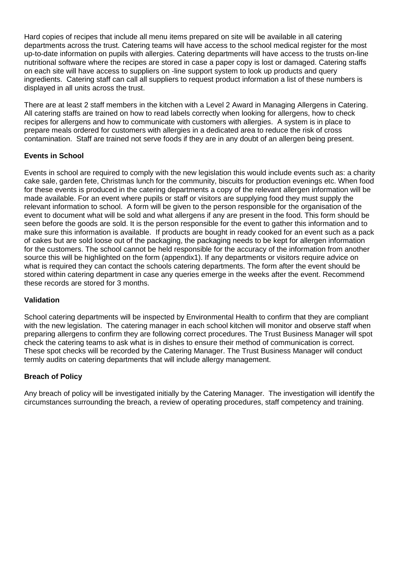Hard copies of recipes that include all menu items prepared on site will be available in all catering departments across the trust. Catering teams will have access to the school medical register for the most up-to-date information on pupils with allergies. Catering departments will have access to the trusts on-line nutritional software where the recipes are stored in case a paper copy is lost or damaged. Catering staffs on each site will have access to suppliers on -line support system to look up products and query ingredients. Catering staff can call all suppliers to request product information a list of these numbers is displayed in all units across the trust.

There are at least 2 staff members in the kitchen with a Level 2 Award in Managing Allergens in Catering. All catering staffs are trained on how to read labels correctly when looking for allergens, how to check recipes for allergens and how to communicate with customers with allergies. A system is in place to prepare meals ordered for customers with allergies in a dedicated area to reduce the risk of cross contamination. Staff are trained not serve foods if they are in any doubt of an allergen being present.

# **Events in School**

Events in school are required to comply with the new legislation this would include events such as: a charity cake sale, garden fete, Christmas lunch for the community, biscuits for production evenings etc. When food for these events is produced in the catering departments a copy of the relevant allergen information will be made available. For an event where pupils or staff or visitors are supplying food they must supply the relevant information to school. A form will be given to the person responsible for the organisation of the event to document what will be sold and what allergens if any are present in the food. This form should be seen before the goods are sold. It is the person responsible for the event to gather this information and to make sure this information is available. If products are bought in ready cooked for an event such as a pack of cakes but are sold loose out of the packaging, the packaging needs to be kept for allergen information for the customers. The school cannot be held responsible for the accuracy of the information from another source this will be highlighted on the form (appendix1). If any departments or visitors require advice on what is required they can contact the schools catering departments. The form after the event should be stored within catering department in case any queries emerge in the weeks after the event. Recommend these records are stored for 3 months.

## **Validation**

School catering departments will be inspected by Environmental Health to confirm that they are compliant with the new legislation. The catering manager in each school kitchen will monitor and observe staff when preparing allergens to confirm they are following correct procedures. The Trust Business Manager will spot check the catering teams to ask what is in dishes to ensure their method of communication is correct. These spot checks will be recorded by the Catering Manager. The Trust Business Manager will conduct termly audits on catering departments that will include allergy management.

# **Breach of Policy**

Any breach of policy will be investigated initially by the Catering Manager. The investigation will identify the circumstances surrounding the breach, a review of operating procedures, staff competency and training.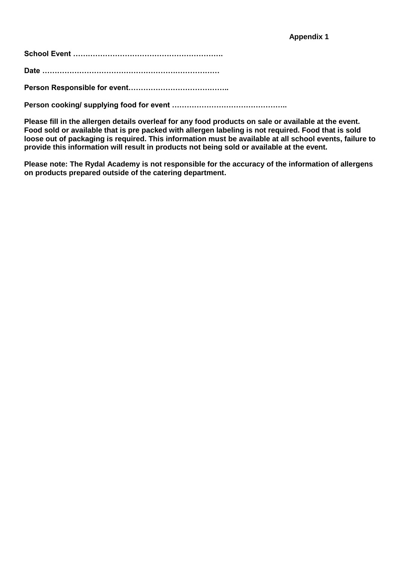**School Event …………………………………………………….**

**Date ………………………………………………………………**

**Person Responsible for event…………………………………..**

**Person cooking/ supplying food for event ………………………………………..**

**Please fill in the allergen details overleaf for any food products on sale or available at the event. Food sold or available that is pre packed with allergen labeling is not required. Food that is sold loose out of packaging is required. This information must be available at all school events, failure to provide this information will result in products not being sold or available at the event.**

**Please note: The Rydal Academy is not responsible for the accuracy of the information of allergens on products prepared outside of the catering department.**